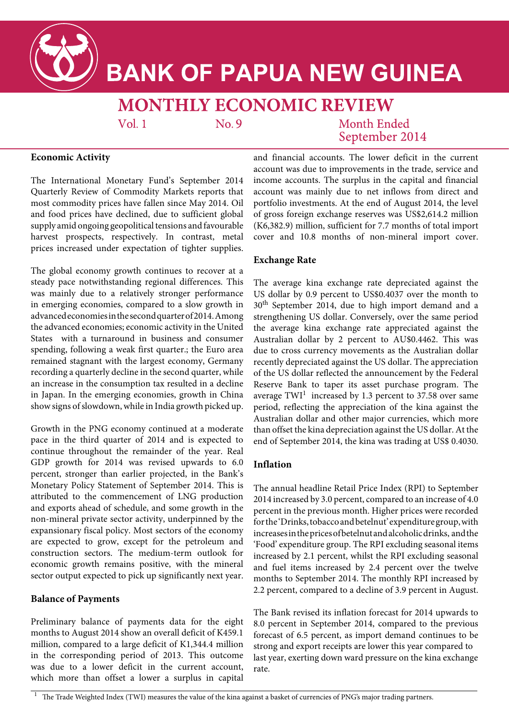

# **BANK OF PAPUA NEW GUINEA**

## **MONTHLY ECONOMIC REVIEW**

 $Vol<sub>1</sub>$ 

 $No.9$ 

Month Ended September 2014

### **Economic Activity**

The International Monetary Fund's September 2014 Quarterly Review of Commodity Markets reports that most commodity prices have fallen since May 2014. Oil and food prices have declined, due to sufficient global supply amid ongoing geopolitical tensions and favourable harvest prospects, respectively. In contrast, metal prices increased under expectation of tighter supplies.

The global economy growth continues to recover at a steady pace notwithstanding regional differences. This was mainly due to a relatively stronger performance in emerging economies, compared to a slow growth in advanced economies in the second quarter of 2014. Among the advanced economies; economic activity in the United States with a turnaround in business and consumer spending, following a weak first quarter.; the Euro area remained stagnant with the largest economy, Germany recording a quarterly decline in the second quarter, while an increase in the consumption tax resulted in a decline in Japan. In the emerging economies, growth in China show signs of slowdown, while in India growth picked up.

Growth in the PNG economy continued at a moderate pace in the third quarter of 2014 and is expected to continue throughout the remainder of the year. Real GDP growth for 2014 was revised upwards to 6.0 percent, stronger than earlier projected, in the Bank's Monetary Policy Statement of September 2014. This is attributed to the commencement of LNG production and exports ahead of schedule, and some growth in the non-mineral private sector activity, underpinned by the expansionary fiscal policy. Most sectors of the economy are expected to grow, except for the petroleum and construction sectors. The medium-term outlook for economic growth remains positive, with the mineral sector output expected to pick up significantly next year.

### **Balance of Payments**

Preliminary balance of payments data for the eight months to August 2014 show an overall deficit of K459.1 million, compared to a large deficit of K1,344.4 million in the corresponding period of 2013. This outcome was due to a lower deficit in the current account, which more than offset a lower a surplus in capital

and financial accounts. The lower deficit in the current account was due to improvements in the trade, service and income accounts. The surplus in the capital and financial account was mainly due to net inflows from direct and portfolio investments. At the end of August 2014, the level of gross foreign exchange reserves was US\$2,614.2 million (K6,382.9) million, sufficient for 7.7 months of total import cover and 10.8 months of non-mineral import cover.

#### **Exchange Rate**

The average kina exchange rate depreciated against the US dollar by 0.9 percent to US\$0.4037 over the month to 30th September 2014, due to high import demand and a strengthening US dollar. Conversely, over the same period the average kina exchange rate appreciated against the Australian dollar by 2 percent to AU\$0.4462. This was due to cross currency movements as the Australian dollar recently depreciated against the US dollar. The appreciation of the US dollar reflected the announcement by the Federal Reserve Bank to taper its asset purchase program. The average  $TWI<sup>1</sup>$  increased by 1.3 percent to 37.58 over same period, reflecting the appreciation of the kina against the Australian dollar and other major currencies, which more than offset the kina depreciation against the US dollar. At the end of September 2014, the kina was trading at US\$ 0.4030.

#### **Inflation**

The annual headline Retail Price Index (RPI) to September 2014 increased by 3.0 percent, compared to an increase of 4.0 percent in the previous month. Higher prices were recorded for the 'Drinks, tobacco and betelnut' expenditure group, with increases in the prices of betelnut and alcoholic drinks, and the 'Food' expenditure group. The RPI excluding seasonal items increased by 2.1 percent, whilst the RPI excluding seasonal and fuel items increased by 2.4 percent over the twelve months to September 2014. The monthly RPI increased by 2.2 percent, compared to a decline of 3.9 percent in August.

The Bank revised its inflation forecast for 2014 upwards to 8.0 percent in September 2014, compared to the previous forecast of 6.5 percent, as import demand continues to be strong and export receipts are lower this year compared to last year, exerting down ward pressure on the kina exchange rate.

<sup>&</sup>lt;sup>1</sup> The Trade Weighted Index (TWI) measures the value of the kina against a basket of currencies of PNG's major trading partners.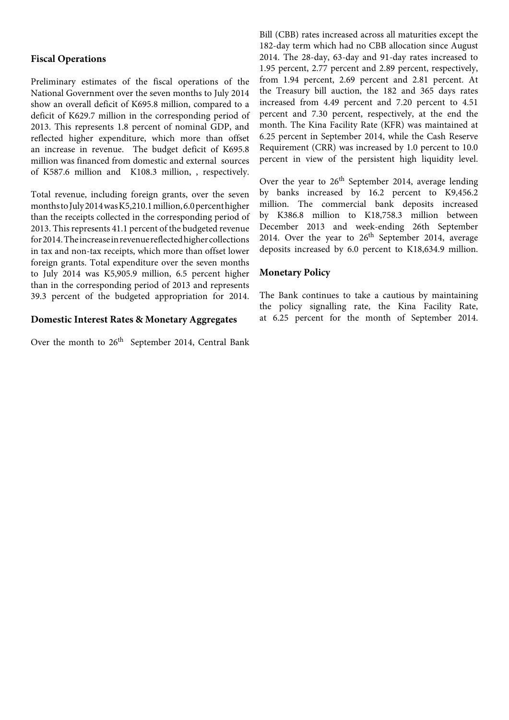#### **Fiscal Operations**

Preliminary estimates of the fiscal operations of the National Government over the seven months to July 2014 show an overall deficit of K695.8 million, compared to a deficit of K629.7 million in the corresponding period of 2013. This represents 1.8 percent of nominal GDP, and reflected higher expenditure, which more than offset an increase in revenue. The budget deficit of K695.8 million was financed from domestic and external sources of K587.6 million and K108.3 million, , respectively.

Total revenue, including foreign grants, over the seven months to July 2014 was K5,210.1 million, 6.0 percent higher than the receipts collected in the corresponding period of 2013. This represents 41.1 percent of the budgeted revenue for 2014. The increase in revenue reflected higher collections in tax and non-tax receipts, which more than offset lower foreign grants. Total expenditure over the seven months to July 2014 was K5,905.9 million, 6.5 percent higher than in the corresponding period of 2013 and represents 39.3 percent of the budgeted appropriation for 2014.

#### **Domestic Interest Rates & Monetary Aggregates**

Over the month to  $26<sup>th</sup>$  September 2014, Central Bank

Bill (CBB) rates increased across all maturities except the 182-day term which had no CBB allocation since August 2014. The 28-day, 63-day and 91-day rates increased to 1.95 percent, 2.77 percent and 2.89 percent, respectively, from 1.94 percent, 2.69 percent and 2.81 percent. At the Treasury bill auction, the 182 and 365 days rates increased from 4.49 percent and 7.20 percent to 4.51 percent and 7.30 percent, respectively, at the end the month. The Kina Facility Rate (KFR) was maintained at 6.25 percent in September 2014, while the Cash Reserve Requirement (CRR) was increased by 1.0 percent to 10.0 percent in view of the persistent high liquidity level.

Over the year to 26<sup>th</sup> September 2014, average lending by banks increased by 16.2 percent to K9,456.2 million. The commercial bank deposits increased by K386.8 million to K18,758.3 million between December 2013 and week-ending 26th September 2014. Over the year to  $26<sup>th</sup>$  September 2014, average deposits increased by 6.0 percent to K18,634.9 million.

#### **Monetary Policy**

The Bank continues to take a cautious by maintaining the policy signalling rate, the Kina Facility Rate, at 6.25 percent for the month of September 2014.